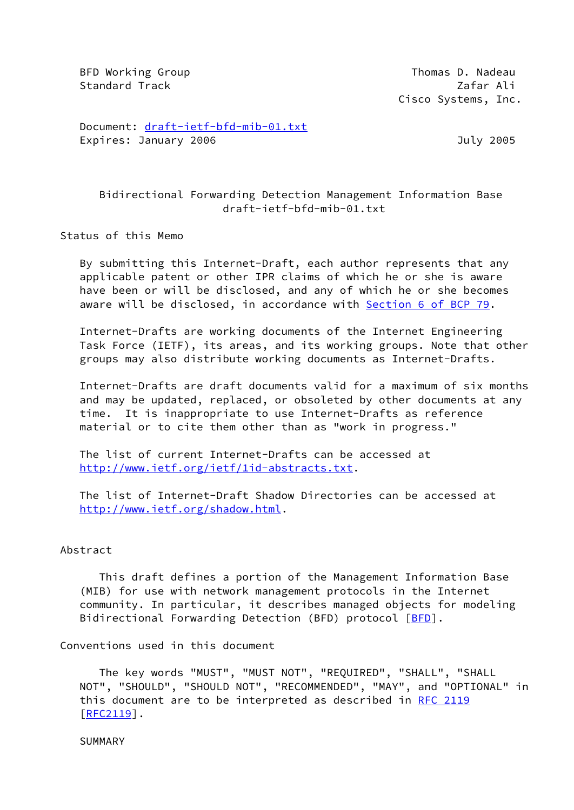BFD Working Group **Thomas D. Nadeau** Standard Track 2012 12:30 12:30 12:30 12:30 12:30 12:30 12:30 12:30 12:30 12:30 12:30 12:30 12:30 12:30 12:30 Cisco Systems, Inc.

 Document: [draft-ietf-bfd-mib-01.txt](https://datatracker.ietf.org/doc/pdf/draft-ietf-bfd-mib-01.txt) Expires: January 2006 **Galacter Contracts** 2005

## Bidirectional Forwarding Detection Management Information Base draft-ietf-bfd-mib-01.txt

Status of this Memo

 By submitting this Internet-Draft, each author represents that any applicable patent or other IPR claims of which he or she is aware have been or will be disclosed, and any of which he or she becomes aware will be disclosed, in accordance with Section [6 of BCP 79.](https://datatracker.ietf.org/doc/pdf/bcp79#section-6)

 Internet-Drafts are working documents of the Internet Engineering Task Force (IETF), its areas, and its working groups. Note that other groups may also distribute working documents as Internet-Drafts.

 Internet-Drafts are draft documents valid for a maximum of six months and may be updated, replaced, or obsoleted by other documents at any time. It is inappropriate to use Internet-Drafts as reference material or to cite them other than as "work in progress."

 The list of current Internet-Drafts can be accessed at <http://www.ietf.org/ietf/1id-abstracts.txt>.

 The list of Internet-Draft Shadow Directories can be accessed at <http://www.ietf.org/shadow.html>.

### Abstract

 This draft defines a portion of the Management Information Base (MIB) for use with network management protocols in the Internet community. In particular, it describes managed objects for modeling Bidirectional Forwarding Detection (BFD) protocol [[BFD](#page-24-0)].

Conventions used in this document

 The key words "MUST", "MUST NOT", "REQUIRED", "SHALL", "SHALL NOT", "SHOULD", "SHOULD NOT", "RECOMMENDED", "MAY", and "OPTIONAL" in this document are to be interpreted as described in [RFC 2119](https://datatracker.ietf.org/doc/pdf/rfc2119) [\[RFC2119](https://datatracker.ietf.org/doc/pdf/rfc2119)].

SUMMARY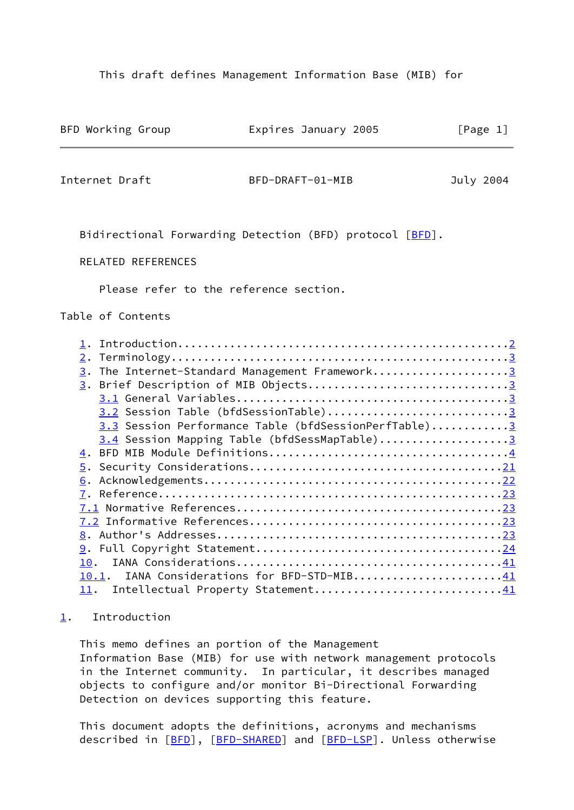This draft defines Management Information Base (MIB) for

<span id="page-1-1"></span>

| BFD Working Group                              | Expires January 2005                                                                                                                                                                                                                                                                                                 | [Page 1]  |
|------------------------------------------------|----------------------------------------------------------------------------------------------------------------------------------------------------------------------------------------------------------------------------------------------------------------------------------------------------------------------|-----------|
| Internet Draft                                 | BFD-DRAFT-01-MIB                                                                                                                                                                                                                                                                                                     | July 2004 |
|                                                | Bidirectional Forwarding Detection (BFD) protocol [BFD].                                                                                                                                                                                                                                                             |           |
| RELATED REFERENCES                             |                                                                                                                                                                                                                                                                                                                      |           |
| Please refer to the reference section.         |                                                                                                                                                                                                                                                                                                                      |           |
| Table of Contents                              |                                                                                                                                                                                                                                                                                                                      |           |
| 10.<br>10.1.<br><u>11</u> .                    | 3. The Internet-Standard Management Framework3<br>3. Brief Description of MIB Objects3<br>3.2 Session Table (bfdSessionTable)3<br>3.3 Session Performance Table (bfdSessionPerfTable)3<br>3.4 Session Mapping Table (bfdSessMapTable)3<br>IANA Considerations for BFD-STD-MIB41<br>Intellectual Property Statement41 |           |
| Introduction<br>$\mathbf{1}$ .                 |                                                                                                                                                                                                                                                                                                                      |           |
| This memo defines an portion of the Management | Information Base (MIB) for use with network management protocols<br>in the Internet community. In particular, it describes managed<br>objects to configure and/or monitor Bi-Directional Forwarding                                                                                                                  |           |

 This document adopts the definitions, acronyms and mechanisms described in [\[BFD](#page-24-0)], [\[BFD-SHARED\]](#page-24-4) and [\[BFD-LSP](#page-24-5)]. Unless otherwise

<span id="page-1-0"></span>Detection on devices supporting this feature.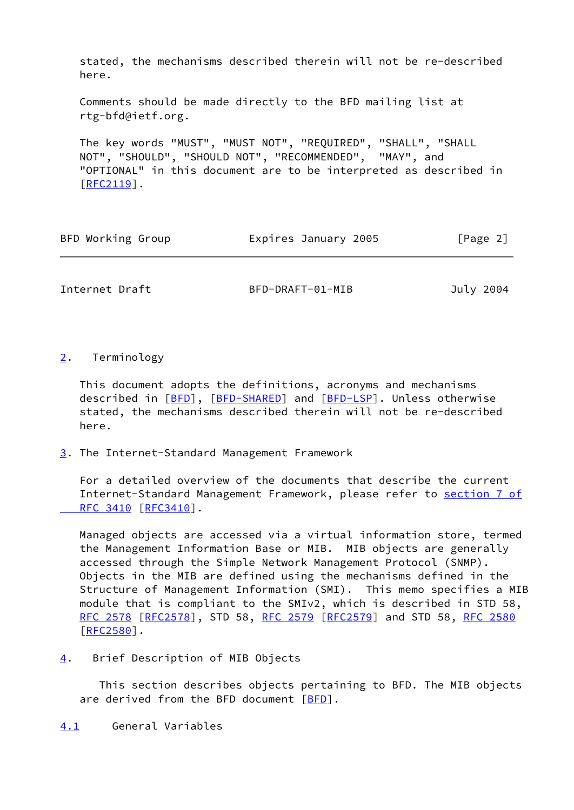stated, the mechanisms described therein will not be re-described here.

 Comments should be made directly to the BFD mailing list at rtg-bfd@ietf.org.

 The key words "MUST", "MUST NOT", "REQUIRED", "SHALL", "SHALL NOT", "SHOULD", "SHOULD NOT", "RECOMMENDED", "MAY", and "OPTIONAL" in this document are to be interpreted as described in [\[RFC2119](https://datatracker.ietf.org/doc/pdf/rfc2119)].

| BFD Working Group | Expires January 2005 | [Page 2] |
|-------------------|----------------------|----------|
|-------------------|----------------------|----------|

<span id="page-2-1"></span>Internet Draft BFD-DRAFT-01-MIB July 2004

# <span id="page-2-0"></span>[2](#page-2-0). Terminology

 This document adopts the definitions, acronyms and mechanisms described in [\[BFD](#page-24-0)], [\[BFD-SHARED\]](#page-24-4) and [\[BFD-LSP](#page-24-5)]. Unless otherwise stated, the mechanisms described therein will not be re-described here.

<span id="page-2-2"></span>[3](#page-2-2). The Internet-Standard Management Framework

 For a detailed overview of the documents that describe the current Internet-Standard Management Framework, please refer to [section](https://datatracker.ietf.org/doc/pdf/rfc3410#section-7) 7 of RFC 3410 [\[RFC3410](https://datatracker.ietf.org/doc/pdf/rfc3410)].

 Managed objects are accessed via a virtual information store, termed the Management Information Base or MIB. MIB objects are generally accessed through the Simple Network Management Protocol (SNMP). Objects in the MIB are defined using the mechanisms defined in the Structure of Management Information (SMI). This memo specifies a MIB module that is compliant to the SMIv2, which is described in STD 58, [RFC 2578](https://datatracker.ietf.org/doc/pdf/rfc2578) [\[RFC2578](https://datatracker.ietf.org/doc/pdf/rfc2578)], STD 58, [RFC 2579 \[RFC2579](https://datatracker.ietf.org/doc/pdf/rfc2579)] and STD 58, [RFC 2580](https://datatracker.ietf.org/doc/pdf/rfc2580) [\[RFC2580](https://datatracker.ietf.org/doc/pdf/rfc2580)].

<span id="page-2-3"></span>[4](#page-2-3). Brief Description of MIB Objects

 This section describes objects pertaining to BFD. The MIB objects are derived from the BFD document [[BFD](#page-24-0)].

# <span id="page-2-4"></span>[4.1](#page-2-4) General Variables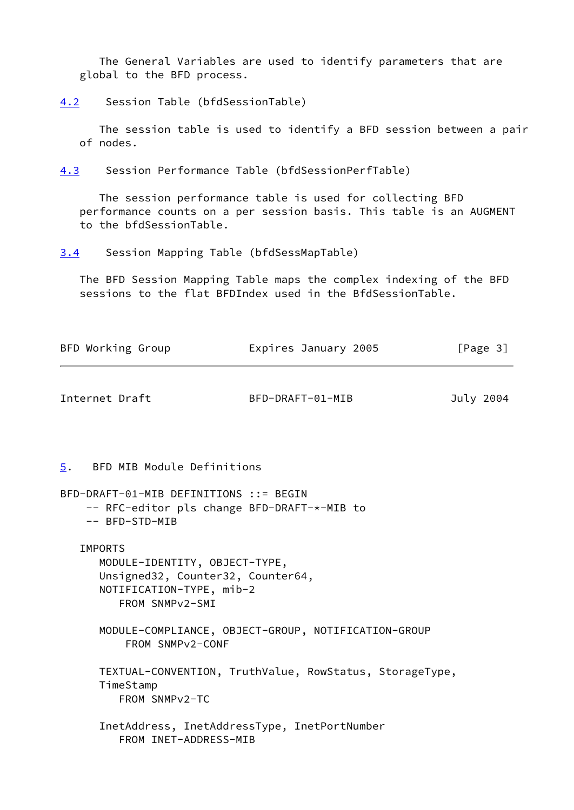The General Variables are used to identify parameters that are global to the BFD process.

<span id="page-3-3"></span>[4.2](#page-3-3) Session Table (bfdSessionTable)

 The session table is used to identify a BFD session between a pair of nodes.

<span id="page-3-4"></span>[4.3](#page-3-4) Session Performance Table (bfdSessionPerfTable)

 The session performance table is used for collecting BFD performance counts on a per session basis. This table is an AUGMENT to the bfdSessionTable.

<span id="page-3-0"></span>[3.4](#page-3-0) Session Mapping Table (bfdSessMapTable)

 The BFD Session Mapping Table maps the complex indexing of the BFD sessions to the flat BFDIndex used in the BfdSessionTable.

<span id="page-3-2"></span><span id="page-3-1"></span>

| BFD Working Group                                                                                                                   | Expires January 2005                                    | [Page 3]  |
|-------------------------------------------------------------------------------------------------------------------------------------|---------------------------------------------------------|-----------|
| Internet Draft                                                                                                                      | BFD-DRAFT-01-MIB                                        | July 2004 |
| 5. BFD MIB Module Definitions                                                                                                       |                                                         |           |
| BFD-DRAFT-01-MIB DEFINITIONS ::= BEGIN<br>-- RFC-editor pls change BFD-DRAFT-*-MIB to<br>-- BFD-STD-MIB                             |                                                         |           |
| <b>IMPORTS</b><br>MODULE-IDENTITY, OBJECT-TYPE,<br>Unsigned32, Counter32, Counter64,<br>NOTIFICATION-TYPE, mib-2<br>FROM SNMPv2-SMI |                                                         |           |
| FROM SNMPv2-CONF                                                                                                                    | MODULE-COMPLIANCE, OBJECT-GROUP, NOTIFICATION-GROUP     |           |
| TimeStamp<br>FROM SNMPv2-TC                                                                                                         | TEXTUAL-CONVENTION, TruthValue, RowStatus, StorageType, |           |
| FROM INET-ADDRESS-MIB                                                                                                               | InetAddress, InetAddressType, InetPortNumber            |           |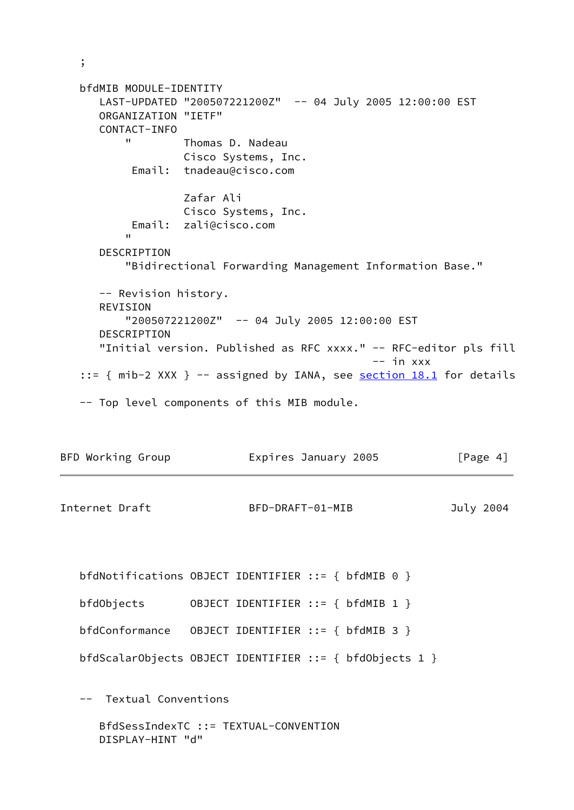```
 bfdMIB MODULE-IDENTITY
       LAST-UPDATED "200507221200Z" -- 04 July 2005 12:00:00 EST
      ORGANIZATION "IETF"
      CONTACT-INFO
          " Thomas D. Nadeau
                    Cisco Systems, Inc.
           Email: tnadeau@cisco.com
                    Zafar Ali
                   Cisco Systems, Inc.
           Email: zali@cisco.com
 "
      DESCRIPTION
           "Bidirectional Forwarding Management Information Base."
      -- Revision history.
      REVISION
          "200507221200Z" -- 04 July 2005 12:00:00 EST
       DESCRIPTION
      "Initial version. Published as RFC xxxx." -- RFC-editor pls fill
                                                -- in xxx::= { mib-2 XXX } -- assigned by IANA, see <u>section 18.1</u> for details
   -- Top level components of this MIB module.
```

| BFD Working Group | Expires January 2005 | [Page 4]  |
|-------------------|----------------------|-----------|
| Internet Draft    | BFD-DRAFT-01-MIB     | July 2004 |

 bfdNotifications OBJECT IDENTIFIER ::= { bfdMIB 0 } bfdObjects OBJECT IDENTIFIER ::= { bfdMIB 1 } bfdConformance OBJECT IDENTIFIER ::= { bfdMIB 3 } bfdScalarObjects OBJECT IDENTIFIER ::= { bfdObjects 1 }

-- Textual Conventions

;

 BfdSessIndexTC ::= TEXTUAL-CONVENTION DISPLAY-HINT "d"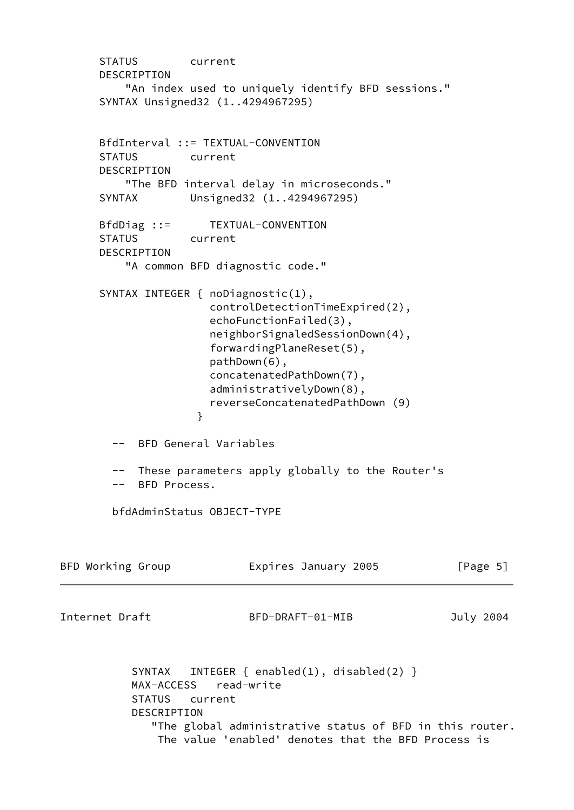```
 STATUS current
      DESCRIPTION
          "An index used to uniquely identify BFD sessions."
      SYNTAX Unsigned32 (1..4294967295)
      BfdInterval ::= TEXTUAL-CONVENTION
      STATUS current
      DESCRIPTION
          "The BFD interval delay in microseconds."
      SYNTAX Unsigned32 (1..4294967295)
      BfdDiag ::= TEXTUAL-CONVENTION
      STATUS current
      DESCRIPTION
          "A common BFD diagnostic code."
      SYNTAX INTEGER { noDiagnostic(1),
                      controlDetectionTimeExpired(2),
                      echoFunctionFailed(3),
                      neighborSignaledSessionDown(4),
                      forwardingPlaneReset(5),
                      pathDown(6),
                      concatenatedPathDown(7),
                      administrativelyDown(8),
                      reverseConcatenatedPathDown (9)
 }
        -- BFD General Variables
        -- These parameters apply globally to the Router's
        -- BFD Process.
        bfdAdminStatus OBJECT-TYPE
BFD Working Group Expires January 2005 [Page 5]
Internet Draft BFD-DRAFT-01-MIB July 2004
          SYNTAX INTEGER { enabled(1), disabled(2) }
           MAX-ACCESS read-write
           STATUS current
           DESCRIPTION
              "The global administrative status of BFD in this router.
               The value 'enabled' denotes that the BFD Process is
```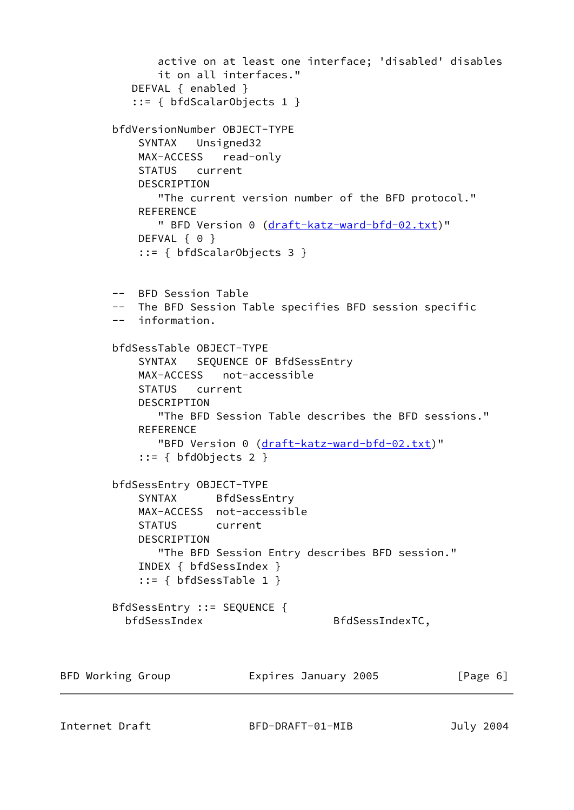```
 active on at least one interface; 'disabled' disables
               it on all interfaces."
           DEFVAL { enabled }
           ::= { bfdScalarObjects 1 }
        bfdVersionNumber OBJECT-TYPE
            SYNTAX Unsigned32
            MAX-ACCESS read-only
            STATUS current
           DESCRIPTION
               "The current version number of the BFD protocol."
            REFERENCE
               " BFD Version 0 (draft-katz-ward-bfd-02.txt)"
           DEFVAL { 0 }
            ::= { bfdScalarObjects 3 }
        -- BFD Session Table
        -- The BFD Session Table specifies BFD session specific
        -- information.
        bfdSessTable OBJECT-TYPE
            SYNTAX SEQUENCE OF BfdSessEntry
            MAX-ACCESS not-accessible
            STATUS current
            DESCRIPTION
               "The BFD Session Table describes the BFD sessions."
            REFERENCE
              draft-katz-ward-bfd-02.txt)"
           ::= { bfdObjects 2 }
        bfdSessEntry OBJECT-TYPE
            SYNTAX BfdSessEntry
            MAX-ACCESS not-accessible
            STATUS current
            DESCRIPTION
               "The BFD Session Entry describes BFD session."
            INDEX { bfdSessIndex }
            ::= { bfdSessTable 1 }
        BfdSessEntry ::= SEQUENCE {
         bfdSessIndex BfdSessIndexTC,
BFD Working Group Expires January 2005 [Page 6]
```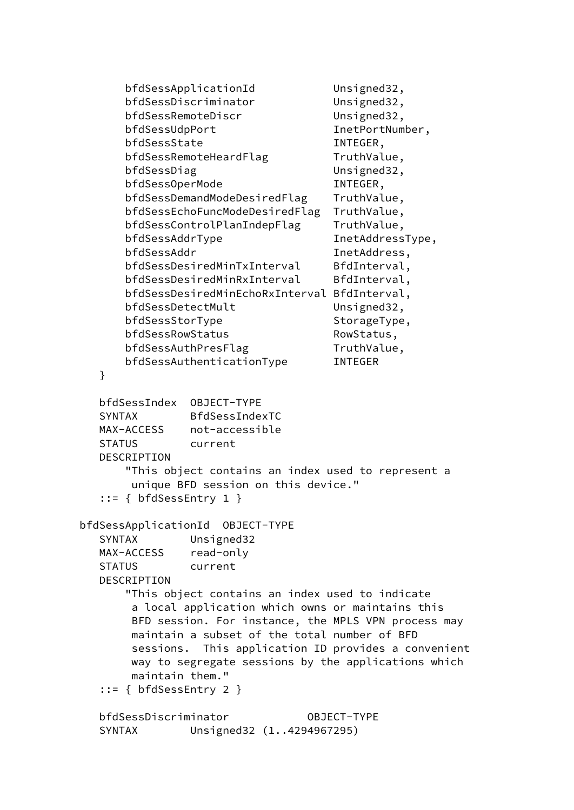```
bfdSessApplicationId Unsigned32,
       bfdSessDiscriminator Unsigned32,
       bfdSessRemoteDiscr Unsigned32,
      bfdSessUdpPort InetPortNumber,
       bfdSessState INTEGER,
      bfdSessRemoteHeardFlag TruthValue,
       bfdSessDiag Unsigned32,
      bfdSessOperMode INTEGER,
       bfdSessDemandModeDesiredFlag TruthValue,
       bfdSessEchoFuncModeDesiredFlag TruthValue,
      bfdSessControlPlanIndepFlag TruthValue,
      bfdSessAddrType InetAddressType,
       bfdSessAddr InetAddress,
      bfdSessDesiredMinTxInterval BfdInterval,
      bfdSessDesiredMinRxInterval BfdInterval,
       bfdSessDesiredMinEchoRxInterval BfdInterval,
      bfdSessDetectMult Unsigned32,
      bfdSessStorType StorageType,
      bfdSessRowStatus RowStatus,
      bfdSessAuthPresFlag TruthValue,
       bfdSessAuthenticationType INTEGER
   }
   bfdSessIndex OBJECT-TYPE
   SYNTAX BfdSessIndexTC
   MAX-ACCESS not-accessible
   STATUS current
   DESCRIPTION
       "This object contains an index used to represent a
       unique BFD session on this device."
   ::= { bfdSessEntry 1 }
 bfdSessApplicationId OBJECT-TYPE
   SYNTAX Unsigned32
   MAX-ACCESS read-only
   STATUS current
   DESCRIPTION
       "This object contains an index used to indicate
        a local application which owns or maintains this
        BFD session. For instance, the MPLS VPN process may
       maintain a subset of the total number of BFD
        sessions. This application ID provides a convenient
       way to segregate sessions by the applications which
       maintain them."
   ::= { bfdSessEntry 2 }
   bfdSessDiscriminator OBJECT-TYPE
   SYNTAX Unsigned32 (1..4294967295)
```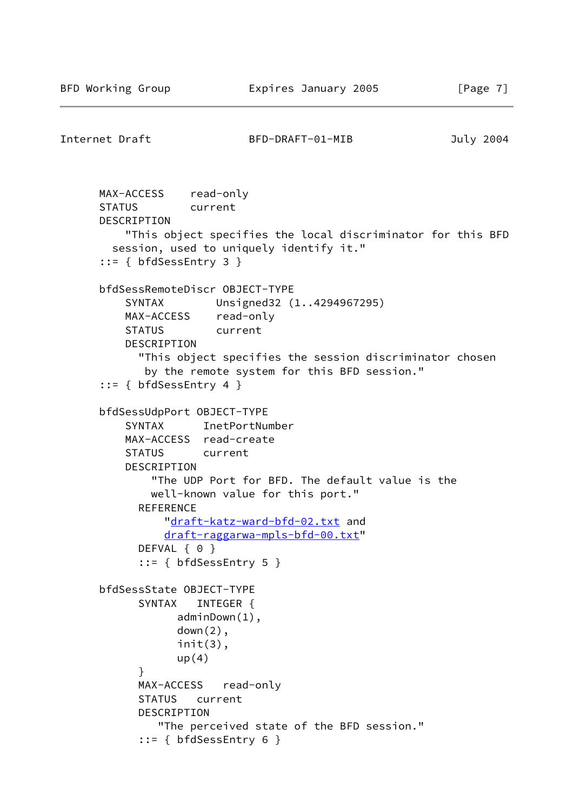```
Internet Draft BFD-DRAFT-01-MIB July 2004
      MAX-ACCESS read-only
      STATUS current
      DESCRIPTION
          "This object specifies the local discriminator for this BFD
        session, used to uniquely identify it."
      ::= { bfdSessEntry 3 }
      bfdSessRemoteDiscr OBJECT-TYPE
          SYNTAX Unsigned32 (1..4294967295)
          MAX-ACCESS read-only
          STATUS current
          DESCRIPTION
            "This object specifies the session discriminator chosen
             by the remote system for this BFD session."
      ::= { bfdSessEntry 4 }
      bfdSessUdpPort OBJECT-TYPE
          SYNTAX InetPortNumber
          MAX-ACCESS read-create
          STATUS current
          DESCRIPTION
              "The UDP Port for BFD. The default value is the
              well-known value for this port."
           REFERENCE
                "draft-katz-ward-bfd-02.txt and
                draft-raggarwa-mpls-bfd-00.txt"
           DEFVAL { 0 }
            ::= { bfdSessEntry 5 }
      bfdSessState OBJECT-TYPE
            SYNTAX INTEGER {
                  adminDown(1),
                 down(2),
                  init(3),
                 up(4) }
            MAX-ACCESS read-only
            STATUS current
            DESCRIPTION
               "The perceived state of the BFD session."
            ::= { bfdSessEntry 6 }
```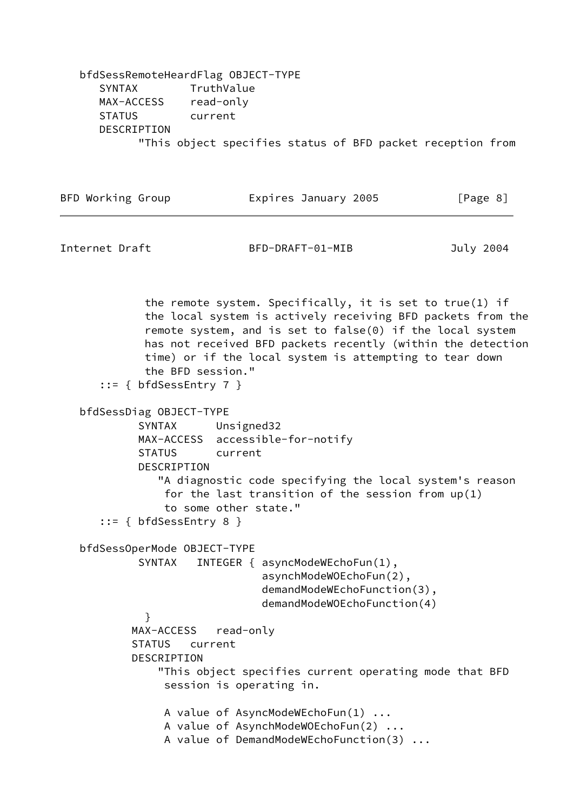bfdSessRemoteHeardFlag OBJECT-TYPE SYNTAX TruthValue MAX-ACCESS read-only STATUS current DESCRIPTION "This object specifies status of BFD packet reception from

| BFD Working Group | Expires January 2005 | [Page 8] |
|-------------------|----------------------|----------|
|                   |                      |          |

Internet Draft BFD-DRAFT-01-MIB July 2004

 the remote system. Specifically, it is set to true(1) if the local system is actively receiving BFD packets from the remote system, and is set to false(0) if the local system has not received BFD packets recently (within the detection time) or if the local system is attempting to tear down the BFD session." ::= { bfdSessEntry 7 } bfdSessDiag OBJECT-TYPE SYNTAX Unsigned32 MAX-ACCESS accessible-for-notify STATUS current DESCRIPTION "A diagnostic code specifying the local system's reason for the last transition of the session from  $up(1)$  to some other state." ::= { bfdSessEntry 8 } bfdSessOperMode OBJECT-TYPE SYNTAX INTEGER { asyncModeWEchoFun(1), asynchModeWOEchoFun(2), demandModeWEchoFunction(3), demandModeWOEchoFunction(4) } MAX-ACCESS read-only STATUS current DESCRIPTION "This object specifies current operating mode that BFD session is operating in. A value of AsyncModeWEchoFun(1) ... A value of AsynchModeWOEchoFun(2) ... A value of DemandModeWEchoFunction(3) ...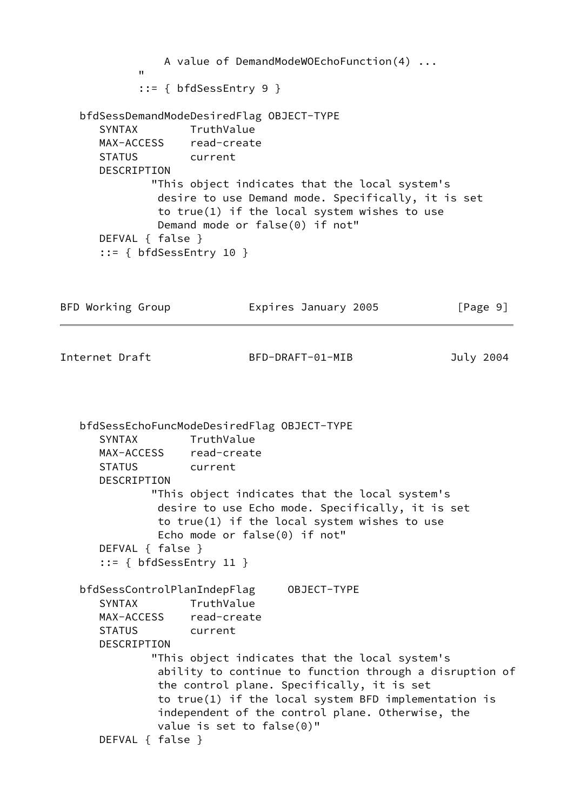```
 A value of DemandModeWOEchoFunction(4) ...
" "The Contract of the Contract of the Contract of the Contract of the Contract of the Contract of the Contract of the Contract of the Contract of the Contract of the Contract of the Contract of the Contract of the Contrac
              ::= { bfdSessEntry 9 }
    bfdSessDemandModeDesiredFlag OBJECT-TYPE
       SYNTAX TruthValue
       MAX-ACCESS read-create
       STATUS current
       DESCRIPTION
                "This object indicates that the local system's
                 desire to use Demand mode. Specifically, it is set
                 to true(1) if the local system wishes to use
                 Demand mode or false(0) if not"
       DEFVAL { false }
       ::= { bfdSessEntry 10 }
BFD Working Group Expires January 2005 [Page 9]
Internet Draft BFD-DRAFT-01-MIB July 2004
    bfdSessEchoFuncModeDesiredFlag OBJECT-TYPE
       SYNTAX TruthValue
       MAX-ACCESS read-create
       STATUS current
       DESCRIPTION
                "This object indicates that the local system's
                 desire to use Echo mode. Specifically, it is set
                 to true(1) if the local system wishes to use
                 Echo mode or false(0) if not"
       DEFVAL { false }
       ::= { bfdSessEntry 11 }
    bfdSessControlPlanIndepFlag OBJECT-TYPE
       SYNTAX TruthValue
       MAX-ACCESS read-create
       STATUS current
       DESCRIPTION
                "This object indicates that the local system's
                 ability to continue to function through a disruption of
                 the control plane. Specifically, it is set
                 to true(1) if the local system BFD implementation is
                 independent of the control plane. Otherwise, the
                 value is set to false(0)"
       DEFVAL { false }
```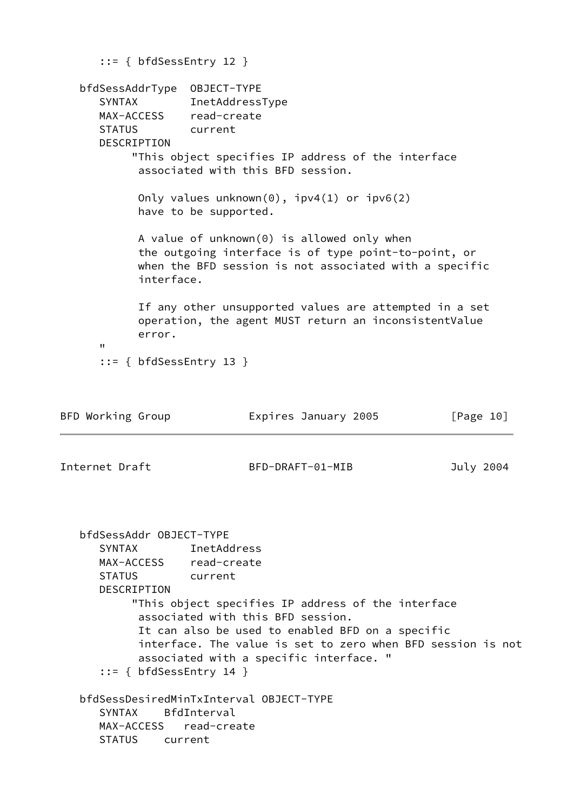```
 ::= { bfdSessEntry 12 }
   bfdSessAddrType OBJECT-TYPE
      SYNTAX InetAddressType
      MAX-ACCESS read-create
      STATUS current
      DESCRIPTION
           "This object specifies IP address of the interface
            associated with this BFD session.
            Only values unknown(0), ipv4(1) or ipv6(2)
            have to be supported.
            A value of unknown(0) is allowed only when
            the outgoing interface is of type point-to-point, or
            when the BFD session is not associated with a specific
            interface.
            If any other unsupported values are attempted in a set
            operation, the agent MUST return an inconsistentValue
            error.
 "
      ::= { bfdSessEntry 13 }
BFD Working Group Expires January 2005 [Page 10]
Internet Draft BFD-DRAFT-01-MIB July 2004
   bfdSessAddr OBJECT-TYPE
      SYNTAX InetAddress
      MAX-ACCESS read-create
      STATUS current
      DESCRIPTION
           "This object specifies IP address of the interface
            associated with this BFD session.
            It can also be used to enabled BFD on a specific
            interface. The value is set to zero when BFD session is not
            associated with a specific interface. "
      ::= { bfdSessEntry 14 }
   bfdSessDesiredMinTxInterval OBJECT-TYPE
      SYNTAX BfdInterval
      MAX-ACCESS read-create
      STATUS current
```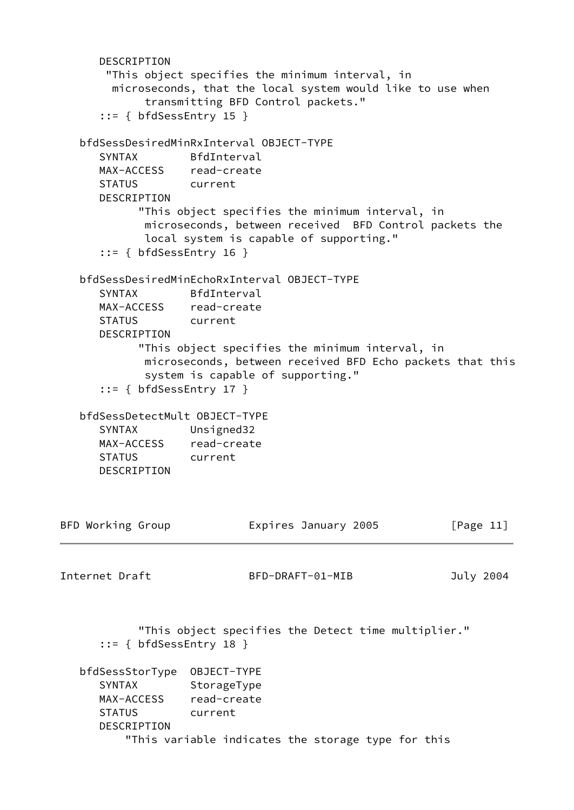```
 DESCRIPTION
       "This object specifies the minimum interval, in
        microseconds, that the local system would like to use when
             transmitting BFD Control packets."
     ::= { bfdSessEntry 15 }
   bfdSessDesiredMinRxInterval OBJECT-TYPE
      SYNTAX BfdInterval
      MAX-ACCESS read-create
      STATUS current
      DESCRIPTION
            "This object specifies the minimum interval, in
             microseconds, between received BFD Control packets the
             local system is capable of supporting."
      ::= { bfdSessEntry 16 }
   bfdSessDesiredMinEchoRxInterval OBJECT-TYPE
      SYNTAX BfdInterval
      MAX-ACCESS read-create
      STATUS current
      DESCRIPTION
            "This object specifies the minimum interval, in
             microseconds, between received BFD Echo packets that this
             system is capable of supporting."
      ::= { bfdSessEntry 17 }
   bfdSessDetectMult OBJECT-TYPE
      SYNTAX Unsigned32
      MAX-ACCESS read-create
      STATUS current
      DESCRIPTION
BFD Working Group Expires January 2005 [Page 11]
Internet Draft BFD-DRAFT-01-MIB July 2004
            "This object specifies the Detect time multiplier."
      ::= { bfdSessEntry 18 }
   bfdSessStorType OBJECT-TYPE
     SYNTAX StorageType
     MAX-ACCESS read-create
      STATUS current
      DESCRIPTION
          "This variable indicates the storage type for this
```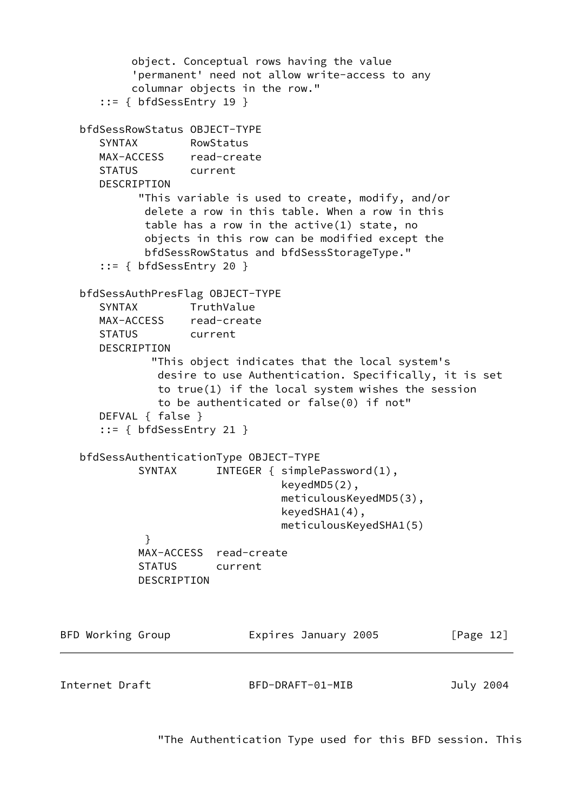```
 object. Conceptual rows having the value
           'permanent' need not allow write-access to any
           columnar objects in the row."
      ::= { bfdSessEntry 19 }
   bfdSessRowStatus OBJECT-TYPE
      SYNTAX RowStatus
      MAX-ACCESS read-create
      STATUS current
      DESCRIPTION
            "This variable is used to create, modify, and/or
             delete a row in this table. When a row in this
             table has a row in the active(1) state, no
             objects in this row can be modified except the
             bfdSessRowStatus and bfdSessStorageType."
      ::= { bfdSessEntry 20 }
   bfdSessAuthPresFlag OBJECT-TYPE
      SYNTAX TruthValue
      MAX-ACCESS read-create
      STATUS current
      DESCRIPTION
              "This object indicates that the local system's
               desire to use Authentication. Specifically, it is set
               to true(1) if the local system wishes the session
               to be authenticated or false(0) if not"
      DEFVAL { false }
      ::= { bfdSessEntry 21 }
   bfdSessAuthenticationType OBJECT-TYPE
           SYNTAX INTEGER { simplePassword(1),
                                 keyedMD5(2),
                                 meticulousKeyedMD5(3),
                                 keyedSHA1(4),
                                 meticulousKeyedSHA1(5)
 }
            MAX-ACCESS read-create
            STATUS current
            DESCRIPTION
BFD Working Group Expires January 2005 [Page 12]
Internet Draft BFD-DRAFT-01-MIB July 2004
```
"The Authentication Type used for this BFD session. This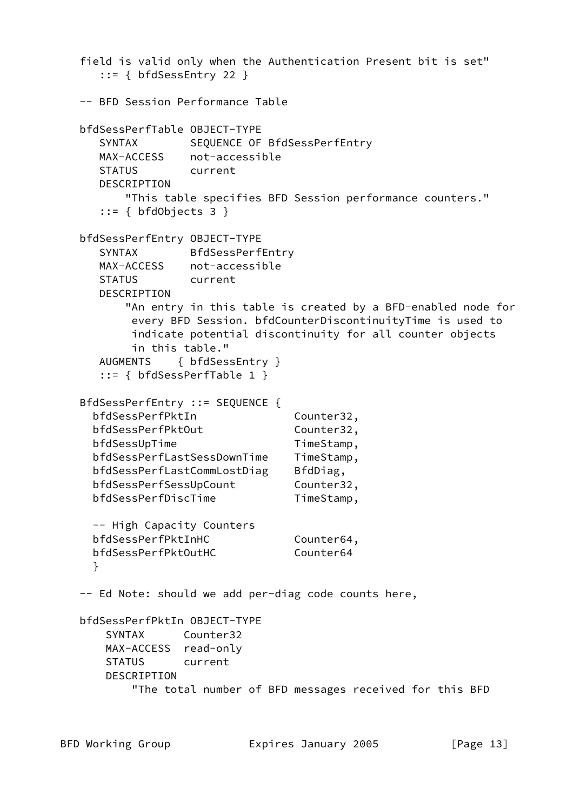```
 field is valid only when the Authentication Present bit is set"
    ::= { bfdSessEntry 22 }
 -- BFD Session Performance Table
 bfdSessPerfTable OBJECT-TYPE
  SYNTAX SEQUENCE OF BfdSessPerfEntry
   MAX-ACCESS not-accessible
   STATUS current
   DESCRIPTION
       "This table specifies BFD Session performance counters."
  ::= { bfdObjects 3 }
 bfdSessPerfEntry OBJECT-TYPE
   SYNTAX BfdSessPerfEntry
   MAX-ACCESS not-accessible
   STATUS current
   DESCRIPTION
       "An entry in this table is created by a BFD-enabled node for
        every BFD Session. bfdCounterDiscontinuityTime is used to
        indicate potential discontinuity for all counter objects
        in this table."
   AUGMENTS { bfdSessEntry }
   ::= { bfdSessPerfTable 1 }
 BfdSessPerfEntry ::= SEQUENCE {
 bfdSessPerfPktIn Counter32,
 bfdSessPerfPktOut Counter32,
 bfdSessUpTime TimeStamp,
  bfdSessPerfLastSessDownTime TimeStamp,
 bfdSessPerfLastCommLostDiag BfdDiag,
 bfdSessPerfSessUpCount Counter32,
 bfdSessPerfDiscTime TimeStamp,
  -- High Capacity Counters
 bfdSessPerfPktInHC Counter64,
 bfdSessPerfPktOutHC Counter64
  }
 -- Ed Note: should we add per-diag code counts here,
 bfdSessPerfPktIn OBJECT-TYPE
    SYNTAX Counter32
    MAX-ACCESS read-only
    STATUS current
    DESCRIPTION
        "The total number of BFD messages received for this BFD
```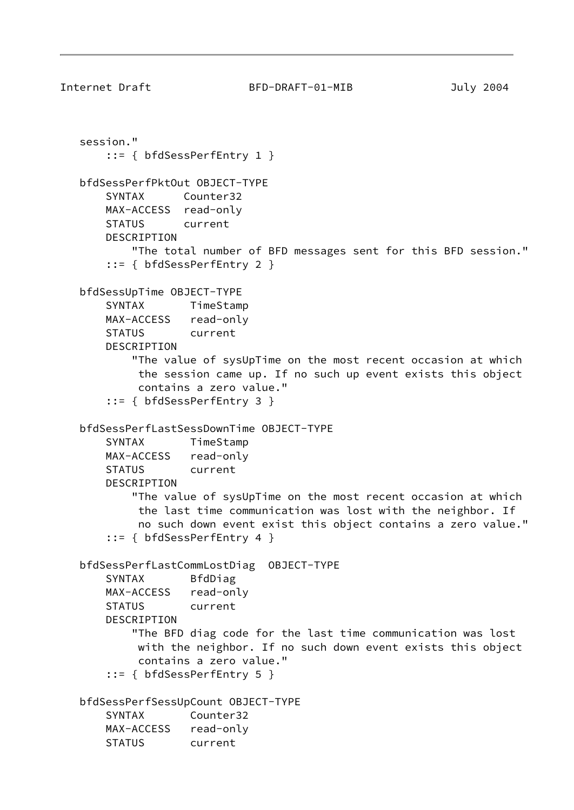```
Internet Draft BFD-DRAFT-01-MIB July 2004
   session."
        ::= { bfdSessPerfEntry 1 }
   bfdSessPerfPktOut OBJECT-TYPE
       SYNTAX Counter32
       MAX-ACCESS read-only
       STATUS current
       DESCRIPTION
           "The total number of BFD messages sent for this BFD session."
        ::= { bfdSessPerfEntry 2 }
   bfdSessUpTime OBJECT-TYPE
       SYNTAX TimeStamp
       MAX-ACCESS read-only
       STATUS current
       DESCRIPTION
           "The value of sysUpTime on the most recent occasion at which
            the session came up. If no such up event exists this object
            contains a zero value."
        ::= { bfdSessPerfEntry 3 }
   bfdSessPerfLastSessDownTime OBJECT-TYPE
       SYNTAX TimeStamp
       MAX-ACCESS read-only
       STATUS current
       DESCRIPTION
           "The value of sysUpTime on the most recent occasion at which
            the last time communication was lost with the neighbor. If
            no such down event exist this object contains a zero value."
        ::= { bfdSessPerfEntry 4 }
   bfdSessPerfLastCommLostDiag OBJECT-TYPE
       SYNTAX BfdDiag
       MAX-ACCESS read-only
       STATUS current
       DESCRIPTION
           "The BFD diag code for the last time communication was lost
            with the neighbor. If no such down event exists this object
            contains a zero value."
        ::= { bfdSessPerfEntry 5 }
   bfdSessPerfSessUpCount OBJECT-TYPE
       SYNTAX Counter32
       MAX-ACCESS read-only
       STATUS current
```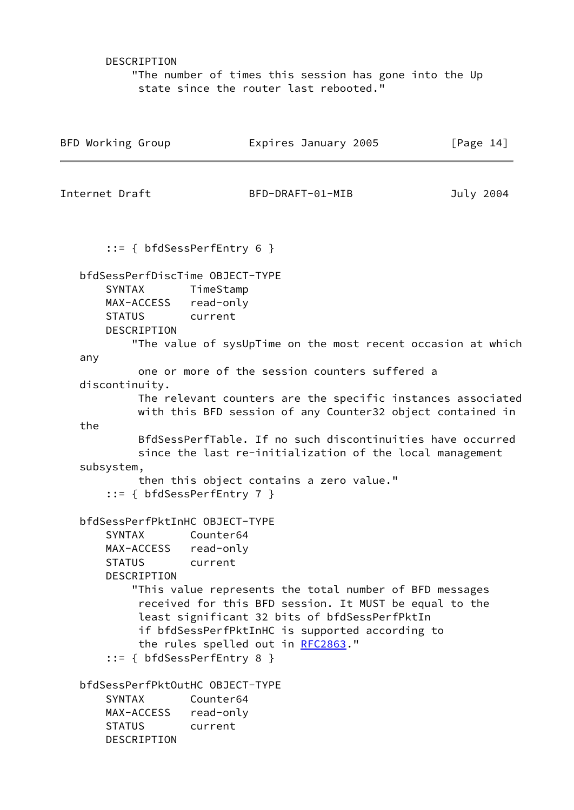DESCRIPTION

 "The number of times this session has gone into the Up state since the router last rebooted."

| BFD Working Group                                                                                                   | Expires January 2005                                                                                                                      | [Page $14$ ] |
|---------------------------------------------------------------------------------------------------------------------|-------------------------------------------------------------------------------------------------------------------------------------------|--------------|
| Internet Draft                                                                                                      | BFD-DRAFT-01-MIB                                                                                                                          | July 2004    |
| $::= \{ bfdSessPerfEntry 6 \}$                                                                                      |                                                                                                                                           |              |
| bfdSessPerfDiscTime OBJECT-TYPE<br>SYNTAX<br>MAX-ACCESS read-only<br><b>STATUS</b><br>current<br><b>DESCRIPTION</b> | TimeStamp                                                                                                                                 |              |
| any                                                                                                                 | "The value of sysUpTime on the most recent occasion at which                                                                              |              |
| discontinuity.                                                                                                      | one or more of the session counters suffered a                                                                                            |              |
|                                                                                                                     | The relevant counters are the specific instances associated<br>with this BFD session of any Counter32 object contained in                 |              |
| the                                                                                                                 |                                                                                                                                           |              |
|                                                                                                                     | BfdSessPerfTable. If no such discontinuities have occurred                                                                                |              |
| subsystem,                                                                                                          | since the last re-initialization of the local management                                                                                  |              |
| $::= \{ bfdSessPerfEntry 7 \}$                                                                                      | then this object contains a zero value."                                                                                                  |              |
| bfdSessPerfPktInHC OBJECT-TYPE<br><b>SYNTAX</b><br>MAX-ACCESS read-only<br><b>STATUS</b><br><b>DESCRIPTION</b>      | Counter64<br>current<br>"This value represents the total number of BFD messages<br>received for this BFD session. It MUST be equal to the |              |
| $::= \{ bfdSessPerfEntry 8 \}$                                                                                      | least significant 32 bits of bfdSessPerfPktIn<br>if bfdSessPerfPktInHC is supported according to<br>the rules spelled out in RFC2863."    |              |
| bfdSessPerfPktOutHC OBJECT-TYPE<br>SYNTAX<br>MAX-ACCESS read-only<br><b>STATUS</b><br>current<br>DESCRIPTION        | Counter64                                                                                                                                 |              |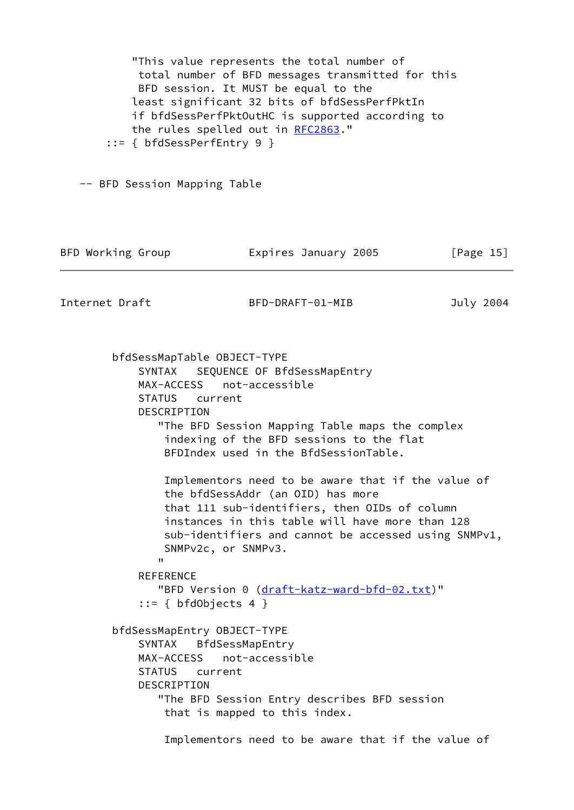"This value represents the total number of total number of BFD messages transmitted for this BFD session. It MUST be equal to the least significant 32 bits of bfdSessPerfPktIn if bfdSessPerfPktOutHC is supported according to the rules spelled out in [RFC2863](https://datatracker.ietf.org/doc/pdf/rfc2863)." ::= { bfdSessPerfEntry 9 } -- BFD Session Mapping Table BFD Working Group **Expires January 2005** [Page 15] Internet Draft BFD-DRAFT-01-MIB July 2004 bfdSessMapTable OBJECT-TYPE SYNTAX SEQUENCE OF BfdSessMapEntry MAX-ACCESS not-accessible STATUS current DESCRIPTION "The BFD Session Mapping Table maps the complex indexing of the BFD sessions to the flat BFDIndex used in the BfdSessionTable. Implementors need to be aware that if the value of the bfdSessAddr (an OID) has more that 111 sub-identifiers, then OIDs of column instances in this table will have more than 128 sub-identifiers and cannot be accessed using SNMPv1, SNMPv2c, or SNMPv3. " **REFERENCE** "BFD Version 0 ([draft-katz-ward-bfd-02.txt\)](https://datatracker.ietf.org/doc/pdf/draft-katz-ward-bfd-02.txt)"  $::= { bfdObjects 4 }$  bfdSessMapEntry OBJECT-TYPE SYNTAX BfdSessMapEntry MAX-ACCESS not-accessible STATUS current DESCRIPTION "The BFD Session Entry describes BFD session that is mapped to this index. Implementors need to be aware that if the value of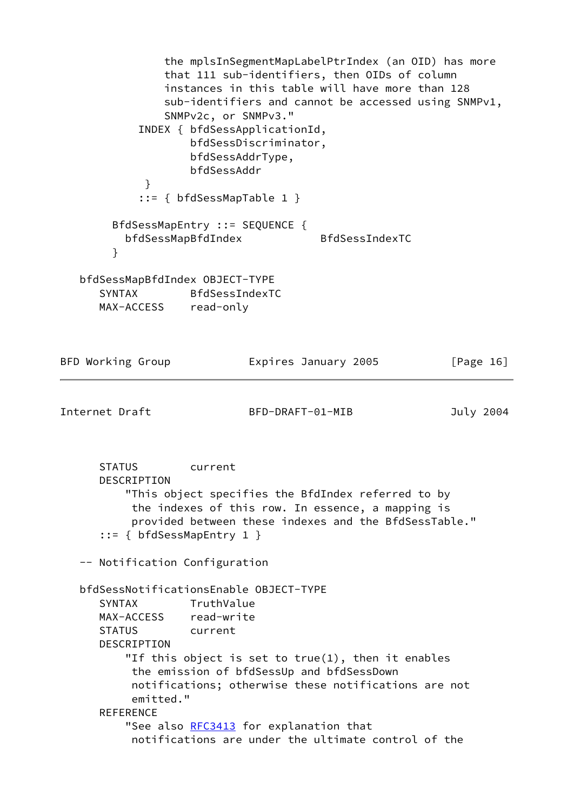the mplsInSegmentMapLabelPtrIndex (an OID) has more that 111 sub-identifiers, then OIDs of column instances in this table will have more than 128 sub-identifiers and cannot be accessed using SNMPv1, SNMPv2c, or SNMPv3." INDEX { bfdSessApplicationId, bfdSessDiscriminator, bfdSessAddrType, bfdSessAddr } ::= { bfdSessMapTable 1 } BfdSessMapEntry ::= SEQUENCE { bfdSessMapBfdIndex BfdSessIndexTC } bfdSessMapBfdIndex OBJECT-TYPE SYNTAX BfdSessIndexTC MAX-ACCESS read-only

| BFD Working Group                                                                                                        | Expires January 2005                                                                                                                                                        | [Page $16$ ] |
|--------------------------------------------------------------------------------------------------------------------------|-----------------------------------------------------------------------------------------------------------------------------------------------------------------------------|--------------|
| Internet Draft                                                                                                           | BFD-DRAFT-01-MIB                                                                                                                                                            | July 2004    |
| <b>STATUS</b><br>DESCRIPTION<br>$::= \{ bfdSessMapEntry 1 \}$                                                            | current<br>"This object specifies the BfdIndex referred to by<br>the indexes of this row. In essence, a mapping is<br>provided between these indexes and the BfdSessTable." |              |
| -- Notification Configuration                                                                                            |                                                                                                                                                                             |              |
| bfdSessNotificationsEnable OBJECT-TYPE<br><b>SYNTAX</b><br>MAX-ACCESS read-write<br>STATUS current<br><b>DESCRIPTION</b> | TruthValue<br>"If this object is set to $true(1)$ , then it enables<br>the emission of bfdSessUp and bfdSessDown                                                            |              |
| emitted."<br><b>REFERENCE</b>                                                                                            | notifications; otherwise these notifications are not                                                                                                                        |              |
|                                                                                                                          | "See also RFC3413 for explanation that<br>notifications are under the ultimate control of the                                                                               |              |
|                                                                                                                          |                                                                                                                                                                             |              |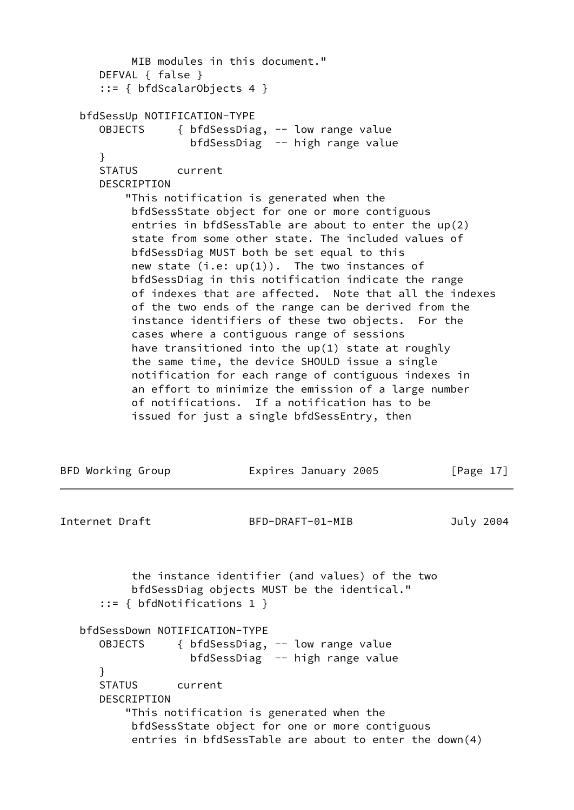```
 MIB modules in this document."
       DEFVAL { false }
       ::= { bfdScalarObjects 4 }
   bfdSessUp NOTIFICATION-TYPE
      OBJECTS { bfdSessDiag, -- low range value
                    bfdSessDiag -- high range value
       }
      STATUS current
      DESCRIPTION
           "This notification is generated when the
            bfdSessState object for one or more contiguous
            entries in bfdSessTable are about to enter the up(2)
            state from some other state. The included values of
            bfdSessDiag MUST both be set equal to this
          new state (i.e: up(1)). The two instances of
           bfdSessDiag in this notification indicate the range
           of indexes that are affected. Note that all the indexes
           of the two ends of the range can be derived from the
            instance identifiers of these two objects. For the
            cases where a contiguous range of sessions
           have transitioned into the up(1) state at roughly
            the same time, the device SHOULD issue a single
           notification for each range of contiguous indexes in
            an effort to minimize the emission of a large number
            of notifications. If a notification has to be
            issued for just a single bfdSessEntry, then
BFD Working Group Expires January 2005 [Page 17]
Internet Draft BFD-DRAFT-01-MIB July 2004
           the instance identifier (and values) of the two
           bfdSessDiag objects MUST be the identical."
       ::= { bfdNotifications 1 }
   bfdSessDown NOTIFICATION-TYPE
      OBJECTS { bfdSessDiag, -- low range value
                    bfdSessDiag -- high range value
       }
      STATUS current
       DESCRIPTION
           "This notification is generated when the
           bfdSessState object for one or more contiguous
            entries in bfdSessTable are about to enter the down(4)
```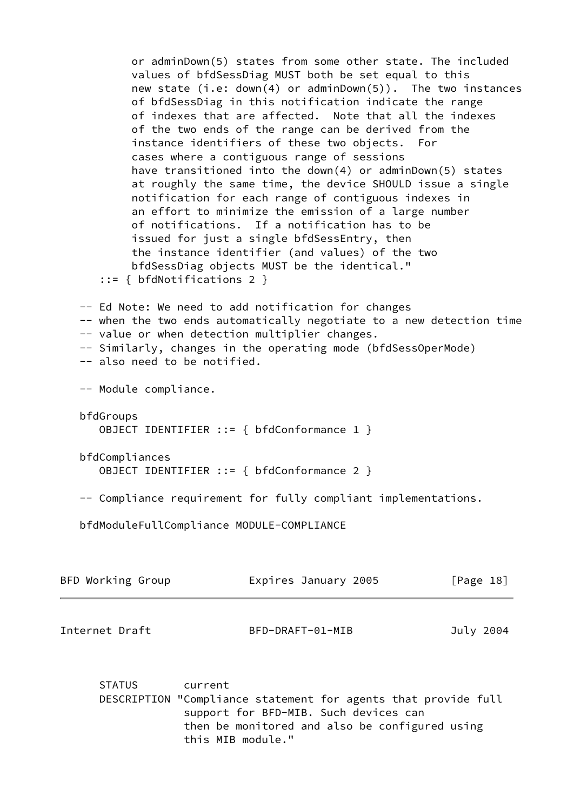or adminDown(5) states from some other state. The included values of bfdSessDiag MUST both be set equal to this new state (i.e: down(4) or adminDown(5)). The two instances of bfdSessDiag in this notification indicate the range of indexes that are affected. Note that all the indexes of the two ends of the range can be derived from the instance identifiers of these two objects. For cases where a contiguous range of sessions have transitioned into the down(4) or adminDown(5) states at roughly the same time, the device SHOULD issue a single notification for each range of contiguous indexes in an effort to minimize the emission of a large number of notifications. If a notification has to be issued for just a single bfdSessEntry, then the instance identifier (and values) of the two bfdSessDiag objects MUST be the identical." ::= { bfdNotifications 2 } -- Ed Note: We need to add notification for changes -- when the two ends automatically negotiate to a new detection time -- value or when detection multiplier changes. -- Similarly, changes in the operating mode (bfdSessOperMode) -- also need to be notified. -- Module compliance. bfdGroups OBJECT IDENTIFIER ::= { bfdConformance 1 } bfdCompliances OBJECT IDENTIFIER ::= { bfdConformance 2 } -- Compliance requirement for fully compliant implementations. bfdModuleFullCompliance MODULE-COMPLIANCE

| BFD Working Group | Expires January 2005 | [Page 18] |
|-------------------|----------------------|-----------|
| Internet Draft    | BFD-DRAFT-01-MIB     | July 2004 |
|                   |                      |           |

 STATUS current DESCRIPTION "Compliance statement for agents that provide full support for BFD-MIB. Such devices can then be monitored and also be configured using this MIB module."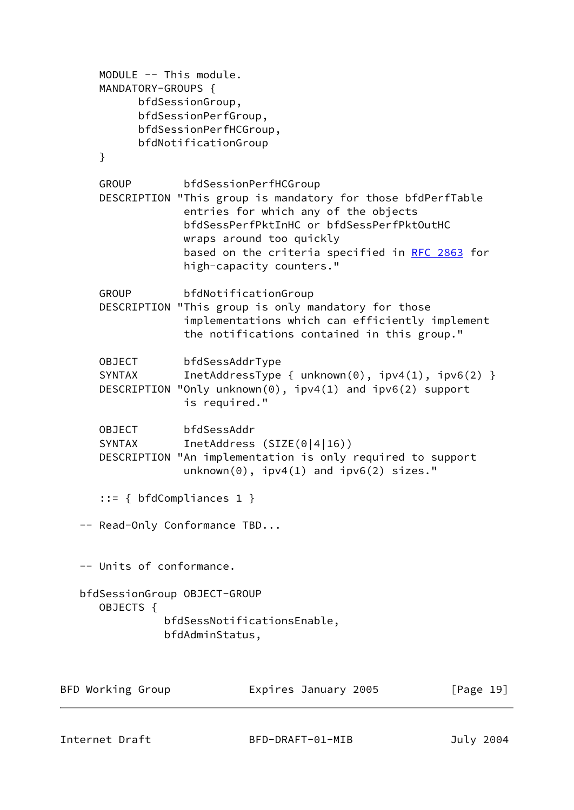```
 MODULE -- This module.
    MANDATORY-GROUPS {
         bfdSessionGroup,
         bfdSessionPerfGroup,
         bfdSessionPerfHCGroup,
         bfdNotificationGroup
    }
    GROUP bfdSessionPerfHCGroup
    DESCRIPTION "This group is mandatory for those bfdPerfTable
                entries for which any of the objects
                bfdSessPerfPktInHC or bfdSessPerfPktOutHC
                wraps around too quickly
               RFC 2863 for
                high-capacity counters."
    GROUP bfdNotificationGroup
    DESCRIPTION "This group is only mandatory for those
                implementations which can efficiently implement
                the notifications contained in this group."
    OBJECT bfdSessAddrType
   SYNTAX InetAddressType { unknown(0), ipv4(1), ipv6(2) }
    DESCRIPTION "Only unknown(0), ipv4(1) and ipv6(2) support
                is required."
   OBJECT bfdSessAddr
    SYNTAX InetAddress (SIZE(0|4|16))
    DESCRIPTION "An implementation is only required to support
                unknown(0), ipv4(1) and ipv6(2) sizes."
    ::= { bfdCompliances 1 }
 -- Read-Only Conformance TBD...
 -- Units of conformance.
 bfdSessionGroup OBJECT-GROUP
   OBJECTS {
             bfdSessNotificationsEnable,
             bfdAdminStatus,
```

| BFD Working Group | Expires January 2005 | [Page 19] |
|-------------------|----------------------|-----------|
|                   |                      |           |
|                   |                      |           |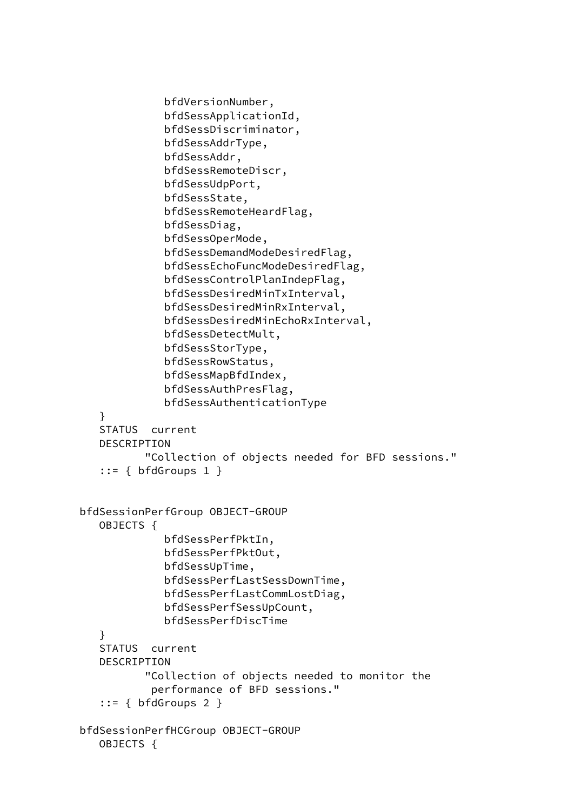```
 bfdVersionNumber,
               bfdSessApplicationId,
               bfdSessDiscriminator,
               bfdSessAddrType,
               bfdSessAddr,
               bfdSessRemoteDiscr,
               bfdSessUdpPort,
               bfdSessState,
               bfdSessRemoteHeardFlag,
               bfdSessDiag,
               bfdSessOperMode,
               bfdSessDemandModeDesiredFlag,
               bfdSessEchoFuncModeDesiredFlag,
               bfdSessControlPlanIndepFlag,
               bfdSessDesiredMinTxInterval,
               bfdSessDesiredMinRxInterval,
               bfdSessDesiredMinEchoRxInterval,
               bfdSessDetectMult,
               bfdSessStorType,
               bfdSessRowStatus,
               bfdSessMapBfdIndex,
               bfdSessAuthPresFlag,
               bfdSessAuthenticationType
    }
    STATUS current
    DESCRIPTION
            "Collection of objects needed for BFD sessions."
   ::= \{ bfdGroups 1 \} bfdSessionPerfGroup OBJECT-GROUP
    OBJECTS {
               bfdSessPerfPktIn,
               bfdSessPerfPktOut,
               bfdSessUpTime,
               bfdSessPerfLastSessDownTime,
               bfdSessPerfLastCommLostDiag,
               bfdSessPerfSessUpCount,
               bfdSessPerfDiscTime
    }
    STATUS current
    DESCRIPTION
            "Collection of objects needed to monitor the
            performance of BFD sessions."
   ::= { bfdGroups 2 } bfdSessionPerfHCGroup OBJECT-GROUP
    OBJECTS {
```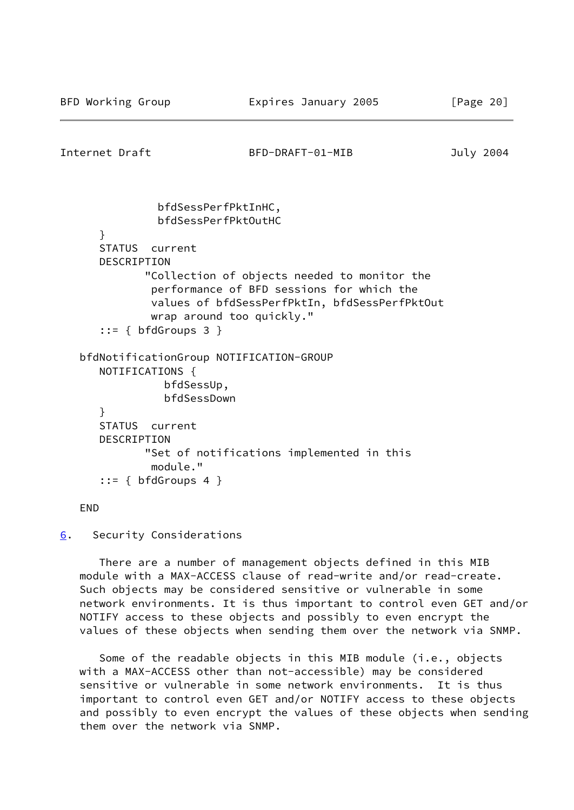<span id="page-23-0"></span>Internet Draft BFD-DRAFT-01-MIB July 2004 bfdSessPerfPktInHC, bfdSessPerfPktOutHC } STATUS current DESCRIPTION "Collection of objects needed to monitor the performance of BFD sessions for which the values of bfdSessPerfPktIn, bfdSessPerfPktOut wrap around too quickly."  $::=$  { bfdGroups 3 } bfdNotificationGroup NOTIFICATION-GROUP NOTIFICATIONS { bfdSessUp, bfdSessDown } STATUS current DESCRIPTION "Set of notifications implemented in this module." ::= { bfdGroups 4 }

#### END

<span id="page-23-1"></span>[6](#page-23-1). Security Considerations

 There are a number of management objects defined in this MIB module with a MAX-ACCESS clause of read-write and/or read-create. Such objects may be considered sensitive or vulnerable in some network environments. It is thus important to control even GET and/or NOTIFY access to these objects and possibly to even encrypt the values of these objects when sending them over the network via SNMP.

 Some of the readable objects in this MIB module (i.e., objects with a MAX-ACCESS other than not-accessible) may be considered sensitive or vulnerable in some network environments. It is thus important to control even GET and/or NOTIFY access to these objects and possibly to even encrypt the values of these objects when sending them over the network via SNMP.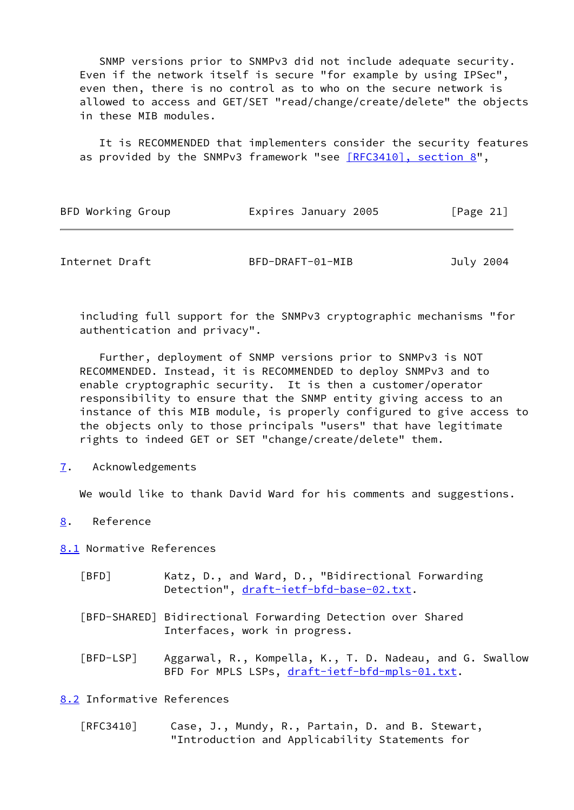SNMP versions prior to SNMPv3 did not include adequate security. Even if the network itself is secure "for example by using IPSec", even then, there is no control as to who on the secure network is allowed to access and GET/SET "read/change/create/delete" the objects in these MIB modules.

 It is RECOMMENDED that implementers consider the security features as provided by the SNMPv3 framework "see [\[RFC3410\], section](https://datatracker.ietf.org/doc/pdf/rfc3410#section-8) 8",

| BFD Working Group | Expires January 2005 |  | [Page 21] |  |
|-------------------|----------------------|--|-----------|--|
|                   |                      |  |           |  |

<span id="page-24-1"></span>

| Internet Draft | BFD-DRAFT-01-MIB | July 2004 |
|----------------|------------------|-----------|
|----------------|------------------|-----------|

 including full support for the SNMPv3 cryptographic mechanisms "for authentication and privacy".

 Further, deployment of SNMP versions prior to SNMPv3 is NOT RECOMMENDED. Instead, it is RECOMMENDED to deploy SNMPv3 and to enable cryptographic security. It is then a customer/operator responsibility to ensure that the SNMP entity giving access to an instance of this MIB module, is properly configured to give access to the objects only to those principals "users" that have legitimate rights to indeed GET or SET "change/create/delete" them.

<span id="page-24-2"></span>[7](#page-24-2). Acknowledgements

We would like to thank David Ward for his comments and suggestions.

<span id="page-24-3"></span>[8](#page-24-3). Reference

<span id="page-24-6"></span>[8.1](#page-24-6) Normative References

- <span id="page-24-0"></span> [BFD] Katz, D., and Ward, D., "Bidirectional Forwarding Detection", [draft-ietf-bfd-base-02.txt.](https://datatracker.ietf.org/doc/pdf/draft-ietf-bfd-base-02.txt)
- <span id="page-24-4"></span> [BFD-SHARED] Bidirectional Forwarding Detection over Shared Interfaces, work in progress.
- <span id="page-24-5"></span> [BFD-LSP] Aggarwal, R., Kompella, K., T. D. Nadeau, and G. Swallow BFD For MPLS LSPs, [draft-ietf-bfd-mpls-01.txt](https://datatracker.ietf.org/doc/pdf/draft-ietf-bfd-mpls-01.txt).

<span id="page-24-7"></span>[8.2](#page-24-7) Informative References

 [RFC3410] Case, J., Mundy, R., Partain, D. and B. Stewart, "Introduction and Applicability Statements for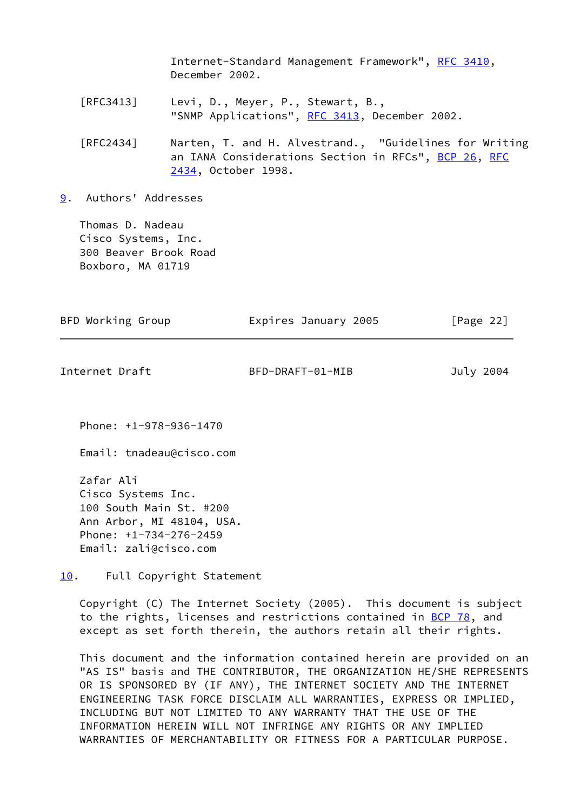Internet-Standard Management Framework", [RFC 3410,](https://datatracker.ietf.org/doc/pdf/rfc3410) December 2002. [RFC3413] Levi, D., Meyer, P., Stewart, B., "SNMP Applications", [RFC 3413,](https://datatracker.ietf.org/doc/pdf/rfc3413) December 2002. [RFC2434] Narten, T. and H. Alvestrand., "Guidelines for Writing an IANA Considerations Section in RFCs", [BCP 26](https://datatracker.ietf.org/doc/pdf/bcp26), [RFC](https://datatracker.ietf.org/doc/pdf/rfc2434) [2434](https://datatracker.ietf.org/doc/pdf/rfc2434), October 1998.

<span id="page-25-1"></span>[9](#page-25-1). Authors' Addresses

 Thomas D. Nadeau Cisco Systems, Inc. 300 Beaver Brook Road Boxboro, MA 01719

<span id="page-25-0"></span>

| BFD Working Group | Expires January 2005 | [Page 22] |
|-------------------|----------------------|-----------|
| Internet Draft    | BFD-DRAFT-01-MIB     | July 2004 |
|                   |                      |           |

Phone: +1-978-936-1470

Email: tnadeau@cisco.com

 Zafar Ali Cisco Systems Inc. 100 South Main St. #200 Ann Arbor, MI 48104, USA. Phone: +1-734-276-2459 Email: zali@cisco.com

<span id="page-25-2"></span>[10.](#page-25-2) Full Copyright Statement

 Copyright (C) The Internet Society (2005). This document is subject to the rights, licenses and restrictions contained in [BCP 78](https://datatracker.ietf.org/doc/pdf/bcp78), and except as set forth therein, the authors retain all their rights.

 This document and the information contained herein are provided on an "AS IS" basis and THE CONTRIBUTOR, THE ORGANIZATION HE/SHE REPRESENTS OR IS SPONSORED BY (IF ANY), THE INTERNET SOCIETY AND THE INTERNET ENGINEERING TASK FORCE DISCLAIM ALL WARRANTIES, EXPRESS OR IMPLIED, INCLUDING BUT NOT LIMITED TO ANY WARRANTY THAT THE USE OF THE INFORMATION HEREIN WILL NOT INFRINGE ANY RIGHTS OR ANY IMPLIED WARRANTIES OF MERCHANTABILITY OR FITNESS FOR A PARTICULAR PURPOSE.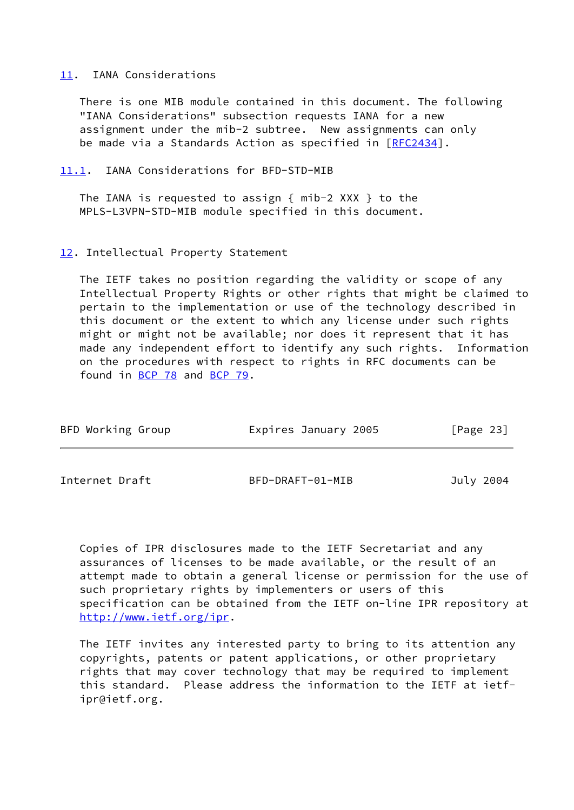### <span id="page-26-1"></span>[11.](#page-26-1) IANA Considerations

 There is one MIB module contained in this document. The following "IANA Considerations" subsection requests IANA for a new assignment under the mib-2 subtree. New assignments can only be made via a Standards Action as specified in [\[RFC2434](https://datatracker.ietf.org/doc/pdf/rfc2434)].

<span id="page-26-2"></span>[11.1](#page-26-2). IANA Considerations for BFD-STD-MIB

The IANA is requested to assign {  $min-2$  XXX } to the MPLS-L3VPN-STD-MIB module specified in this document.

#### <span id="page-26-3"></span>[12.](#page-26-3) Intellectual Property Statement

 The IETF takes no position regarding the validity or scope of any Intellectual Property Rights or other rights that might be claimed to pertain to the implementation or use of the technology described in this document or the extent to which any license under such rights might or might not be available; nor does it represent that it has made any independent effort to identify any such rights. Information on the procedures with respect to rights in RFC documents can be found in [BCP 78](https://datatracker.ietf.org/doc/pdf/bcp78) and [BCP 79](https://datatracker.ietf.org/doc/pdf/bcp79).

<span id="page-26-0"></span>

| BFD Working Group | Expires January 2005 | [Page 23] |
|-------------------|----------------------|-----------|
|                   |                      |           |
| Internet Draft    | BFD-DRAFT-01-MIB     | July 2004 |

 Copies of IPR disclosures made to the IETF Secretariat and any assurances of licenses to be made available, or the result of an attempt made to obtain a general license or permission for the use of such proprietary rights by implementers or users of this specification can be obtained from the IETF on-line IPR repository at <http://www.ietf.org/ipr>.

 The IETF invites any interested party to bring to its attention any copyrights, patents or patent applications, or other proprietary rights that may cover technology that may be required to implement this standard. Please address the information to the IETF at ietf ipr@ietf.org.